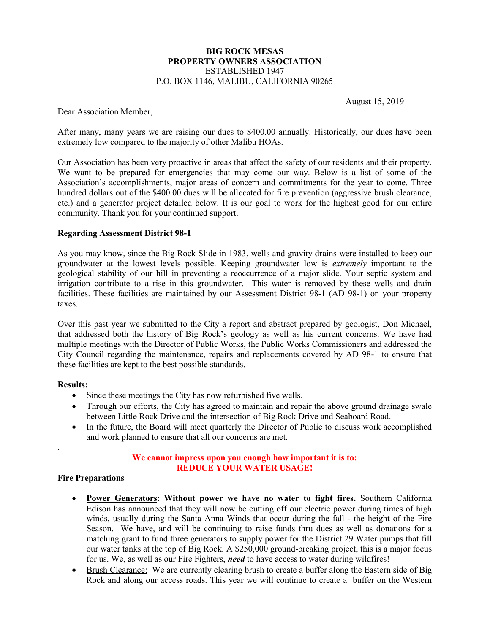## BIG ROCK MESAS PROPERTY OWNERS ASSOCIATION ESTABLISHED 1947 P.O. BOX 1146, MALIBU, CALIFORNIA 90265

August 15, 2019

Dear Association Member,

After many, many years we are raising our dues to \$400.00 annually. Historically, our dues have been extremely low compared to the majority of other Malibu HOAs.

Our Association has been very proactive in areas that affect the safety of our residents and their property. We want to be prepared for emergencies that may come our way. Below is a list of some of the Association's accomplishments, major areas of concern and commitments for the year to come. Three hundred dollars out of the \$400.00 dues will be allocated for fire prevention (aggressive brush clearance, etc.) and a generator project detailed below. It is our goal to work for the highest good for our entire community. Thank you for your continued support.

## Regarding Assessment District 98-1

As you may know, since the Big Rock Slide in 1983, wells and gravity drains were installed to keep our groundwater at the lowest levels possible. Keeping groundwater low is extremely important to the geological stability of our hill in preventing a reoccurrence of a major slide. Your septic system and irrigation contribute to a rise in this groundwater. This water is removed by these wells and drain facilities. These facilities are maintained by our Assessment District 98-1 (AD 98-1) on your property taxes.

Over this past year we submitted to the City a report and abstract prepared by geologist, Don Michael, that addressed both the history of Big Rock's geology as well as his current concerns. We have had multiple meetings with the Director of Public Works, the Public Works Commissioners and addressed the City Council regarding the maintenance, repairs and replacements covered by AD 98-1 to ensure that these facilities are kept to the best possible standards.

## Results:

.

- Since these meetings the City has now refurbished five wells.
- Through our efforts, the City has agreed to maintain and repair the above ground drainage swale between Little Rock Drive and the intersection of Big Rock Drive and Seaboard Road.
- In the future, the Board will meet quarterly the Director of Public to discuss work accomplished and work planned to ensure that all our concerns are met.

# We cannot impress upon you enough how important it is to: REDUCE YOUR WATER USAGE!

## Fire Preparations

- Power Generators: Without power we have no water to fight fires. Southern California Edison has announced that they will now be cutting off our electric power during times of high winds, usually during the Santa Anna Winds that occur during the fall - the height of the Fire Season. We have, and will be continuing to raise funds thru dues as well as donations for a matching grant to fund three generators to supply power for the District 29 Water pumps that fill our water tanks at the top of Big Rock. A \$250,000 ground-breaking project, this is a major focus for us. We, as well as our Fire Fighters, need to have access to water during wildfires!
- Brush Clearance: We are currently clearing brush to create a buffer along the Eastern side of Big Rock and along our access roads. This year we will continue to create a buffer on the Western